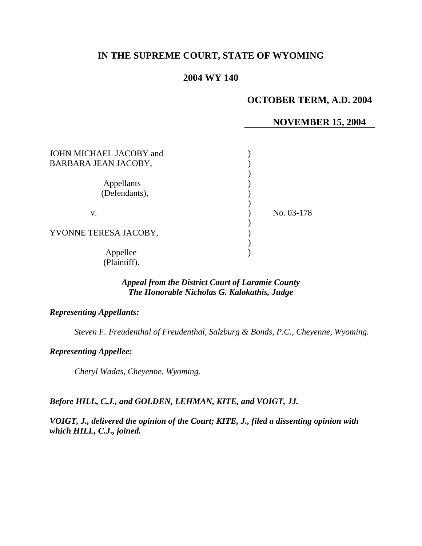# **IN THE SUPREME COURT, STATE OF WYOMING**

## **2004 WY 140**

## **OCTOBER TERM, A.D. 2004**

### **NOVEMBER 15, 2004**

| JOHN MICHAEL JACOBY and<br>BARBARA JEAN JACOBY, |            |
|-------------------------------------------------|------------|
| Appellants<br>(Defendants),                     |            |
| V.                                              | No. 03-178 |
| YVONNE TERESA JACOBY,                           |            |
| Appellee<br>(Plaintiff).                        |            |

### *Appeal from the District Court of Laramie County The Honorable Nicholas G. Kalokathis, Judge*

#### *Representing Appellants:*

*Steven F. Freudenthal of Freudenthal, Salzburg & Bonds, P.C., Cheyenne, Wyoming.* 

*Representing Appellee:*

*Cheryl Wadas, Cheyenne, Wyoming.*

### *Before HILL, C.J., and GOLDEN, LEHMAN, KITE, and VOIGT, JJ.*

*VOIGT, J., delivered the opinion of the Court; KITE, J., filed a dissenting opinion with which HILL, C.J., joined.*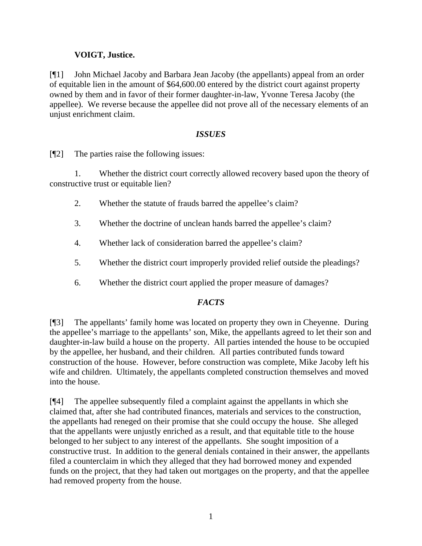## **VOIGT, Justice.**

[¶1] John Michael Jacoby and Barbara Jean Jacoby (the appellants) appeal from an order of equitable lien in the amount of \$64,600.00 entered by the district court against property owned by them and in favor of their former daughter-in-law, Yvonne Teresa Jacoby (the appellee). We reverse because the appellee did not prove all of the necessary elements of an unjust enrichment claim.

### *ISSUES*

[¶2] The parties raise the following issues:

1. Whether the district court correctly allowed recovery based upon the theory of constructive trust or equitable lien?

- 2. Whether the statute of frauds barred the appellee's claim?
- 3. Whether the doctrine of unclean hands barred the appellee's claim?
- 4. Whether lack of consideration barred the appellee's claim?
- 5. Whether the district court improperly provided relief outside the pleadings?
- 6. Whether the district court applied the proper measure of damages?

## *FACTS*

[¶3] The appellants' family home was located on property they own in Cheyenne. During the appellee's marriage to the appellants' son, Mike, the appellants agreed to let their son and daughter-in-law build a house on the property. All parties intended the house to be occupied by the appellee, her husband, and their children. All parties contributed funds toward construction of the house. However, before construction was complete, Mike Jacoby left his wife and children. Ultimately, the appellants completed construction themselves and moved into the house.

[¶4] The appellee subsequently filed a complaint against the appellants in which she claimed that, after she had contributed finances, materials and services to the construction, the appellants had reneged on their promise that she could occupy the house. She alleged that the appellants were unjustly enriched as a result, and that equitable title to the house belonged to her subject to any interest of the appellants. She sought imposition of a constructive trust. In addition to the general denials contained in their answer, the appellants filed a counterclaim in which they alleged that they had borrowed money and expended funds on the project, that they had taken out mortgages on the property, and that the appellee had removed property from the house.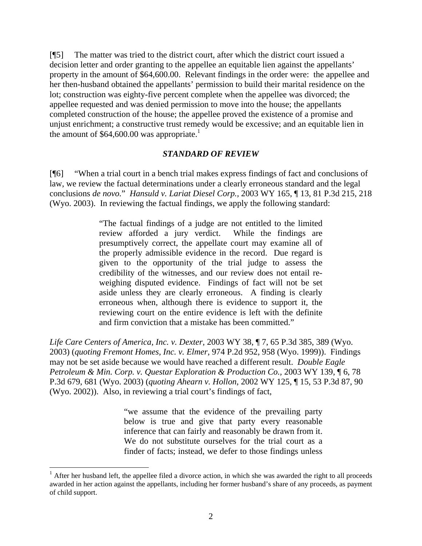[¶5] The matter was tried to the district court, after which the district court issued a decision letter and order granting to the appellee an equitable lien against the appellants' property in the amount of \$64,600.00. Relevant findings in the order were: the appellee and her then-husband obtained the appellants' permission to build their marital residence on the lot; construction was eighty-five percent complete when the appellee was divorced; the appellee requested and was denied permission to move into the house; the appellants completed construction of the house; the appellee proved the existence of a promise and unjust enrichment; a constructive trust remedy would be excessive; and an equitable lien in the amount of  $$64,600.00$  was appropriate.<sup>1</sup>

#### *STANDARD OF REVIEW*

[¶6] "When a trial court in a bench trial makes express findings of fact and conclusions of law, we review the factual determinations under a clearly erroneous standard and the legal conclusions *de novo.*" *Hansuld v. Lariat Diesel Corp.,* 2003 WY 165, ¶ 13, 81 P.3d 215, 218 (Wyo. 2003). In reviewing the factual findings, we apply the following standard:

> "The factual findings of a judge are not entitled to the limited review afforded a jury verdict. While the findings are presumptively correct, the appellate court may examine all of the properly admissible evidence in the record. Due regard is given to the opportunity of the trial judge to assess the credibility of the witnesses, and our review does not entail reweighing disputed evidence. Findings of fact will not be set aside unless they are clearly erroneous. A finding is clearly erroneous when, although there is evidence to support it, the reviewing court on the entire evidence is left with the definite and firm conviction that a mistake has been committed."

*Life Care Centers of America, Inc. v. Dexter,* 2003 WY 38, ¶ 7, 65 P.3d 385, 389 (Wyo. 2003) (*quoting Fremont Homes, Inc. v. Elmer*, 974 P.2d 952, 958 (Wyo. 1999)). Findings may not be set aside because we would have reached a different result. *Double Eagle Petroleum & Min. Corp. v. Questar Exploration & Production Co., 2003 WY 139, 16, 78* P.3d 679, 681 (Wyo. 2003) (*quoting Ahearn v. Hollon*, 2002 WY 125, ¶ 15, 53 P.3d 87, 90 (Wyo. 2002)). Also, in reviewing a trial court's findings of fact,

> "we assume that the evidence of the prevailing party below is true and give that party every reasonable inference that can fairly and reasonably be drawn from it. We do not substitute ourselves for the trial court as a finder of facts; instead, we defer to those findings unless

 $\overline{a}$ 

 $<sup>1</sup>$  After her husband left, the appellee filed a divorce action, in which she was awarded the right to all proceeds</sup> awarded in her action against the appellants, including her former husband's share of any proceeds, as payment of child support.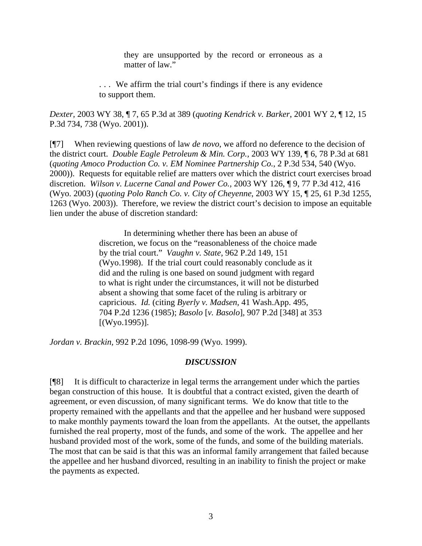they are unsupported by the record or erroneous as a matter of law."

. . . We affirm the trial court's findings if there is any evidence to support them.

*Dexter,* 2003 WY 38, ¶ 7, 65 P.3d at 389 (*quoting Kendrick v. Barker*, 2001 WY 2, ¶ 12, 15 P.3d 734, 738 (Wyo. 2001)).

[¶7] When reviewing questions of law *de novo*, we afford no deference to the decision of the district court. *Double Eagle Petroleum & Min. Corp.,* 2003 WY 139, ¶ 6, 78 P.3d at 681 (*quoting Amoco Production Co. v. EM Nominee Partnership Co.*, 2 P.3d 534, 540 (Wyo. 2000)). Requests for equitable relief are matters over which the district court exercises broad discretion. *Wilson v. Lucerne Canal and Power Co.,* 2003 WY 126, ¶ 9, 77 P.3d 412, 416 (Wyo. 2003) (*quoting Polo Ranch Co. v. City of Cheyenne*, 2003 WY 15, ¶ 25, 61 P.3d 1255, 1263 (Wyo. 2003)). Therefore, we review the district court's decision to impose an equitable lien under the abuse of discretion standard:

> In determining whether there has been an abuse of discretion, we focus on the "reasonableness of the choice made by the trial court." *Vaughn v. State,* 962 P.2d 149, 151 (Wyo.1998). If the trial court could reasonably conclude as it did and the ruling is one based on sound judgment with regard to what is right under the circumstances, it will not be disturbed absent a showing that some facet of the ruling is arbitrary or capricious. *Id.* (citing *Byerly v. Madsen,* 41 Wash.App. 495, 704 P.2d 1236 (1985); *Basolo* [*v. Basolo*]*,* 907 P.2d [348] at 353 [(Wyo.1995)].

*Jordan v. Brackin,* 992 P.2d 1096, 1098-99 (Wyo. 1999).

#### *DISCUSSION*

[¶8] It is difficult to characterize in legal terms the arrangement under which the parties began construction of this house. It is doubtful that a contract existed, given the dearth of agreement, or even discussion, of many significant terms. We do know that title to the property remained with the appellants and that the appellee and her husband were supposed to make monthly payments toward the loan from the appellants. At the outset, the appellants furnished the real property, most of the funds, and some of the work. The appellee and her husband provided most of the work, some of the funds, and some of the building materials. The most that can be said is that this was an informal family arrangement that failed because the appellee and her husband divorced, resulting in an inability to finish the project or make the payments as expected.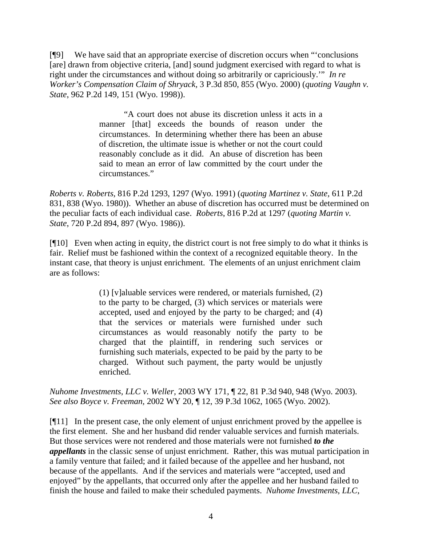[¶9] We have said that an appropriate exercise of discretion occurs when "'conclusions [are] drawn from objective criteria, [and] sound judgment exercised with regard to what is right under the circumstances and without doing so arbitrarily or capriciously.'" *In re Worker's Compensation Claim of Shryack,* 3 P.3d 850, 855 (Wyo. 2000) (*quoting Vaughn v. State*, 962 P.2d 149, 151 (Wyo. 1998)).

> "A court does not abuse its discretion unless it acts in a manner [that] exceeds the bounds of reason under the circumstances. In determining whether there has been an abuse of discretion, the ultimate issue is whether or not the court could reasonably conclude as it did. An abuse of discretion has been said to mean an error of law committed by the court under the circumstances."

*Roberts v. Roberts,* 816 P.2d 1293, 1297 (Wyo. 1991) (*quoting Martinez v. State,* 611 P.2d 831, 838 (Wyo. 1980)). Whether an abuse of discretion has occurred must be determined on the peculiar facts of each individual case. *Roberts*, 816 P.2d at 1297 (*quoting Martin v. State*, 720 P.2d 894, 897 (Wyo. 1986)).

[¶10] Even when acting in equity, the district court is not free simply to do what it thinks is fair. Relief must be fashioned within the context of a recognized equitable theory. In the instant case, that theory is unjust enrichment. The elements of an unjust enrichment claim are as follows:

> (1) [v]aluable services were rendered, or materials furnished, (2) to the party to be charged, (3) which services or materials were accepted, used and enjoyed by the party to be charged; and (4) that the services or materials were furnished under such circumstances as would reasonably notify the party to be charged that the plaintiff, in rendering such services or furnishing such materials, expected to be paid by the party to be charged. Without such payment, the party would be unjustly enriched.

*Nuhome Investments, LLC v. Weller,* 2003 WY 171, ¶ 22, 81 P.3d 940, 948 (Wyo. 2003). *See also Boyce v. Freeman,* 2002 WY 20, ¶ 12, 39 P.3d 1062, 1065 (Wyo. 2002).

[¶11] In the present case, the only element of unjust enrichment proved by the appellee is the first element. She and her husband did render valuable services and furnish materials. But those services were not rendered and those materials were not furnished *to the appellants* in the classic sense of unjust enrichment. Rather, this was mutual participation in a family venture that failed; and it failed because of the appellee and her husband, not because of the appellants. And if the services and materials were "accepted, used and enjoyed" by the appellants, that occurred only after the appellee and her husband failed to finish the house and failed to make their scheduled payments. *Nuhome Investments, LLC*,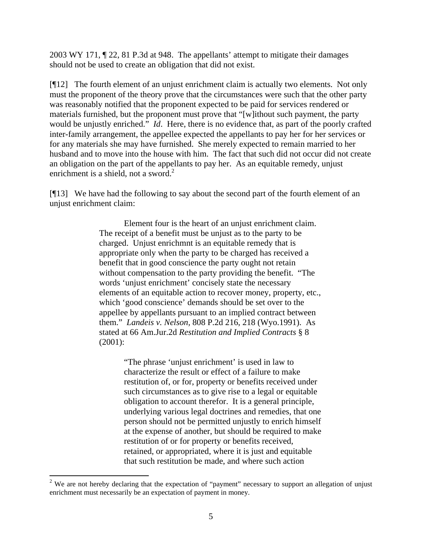2003 WY 171, ¶ 22, 81 P.3d at 948. The appellants' attempt to mitigate their damages should not be used to create an obligation that did not exist.

[¶12] The fourth element of an unjust enrichment claim is actually two elements. Not only must the proponent of the theory prove that the circumstances were such that the other party was reasonably notified that the proponent expected to be paid for services rendered or materials furnished, but the proponent must prove that "[w]ithout such payment, the party would be unjustly enriched." *Id*. Here, there is no evidence that, as part of the poorly crafted inter-family arrangement, the appellee expected the appellants to pay her for her services or for any materials she may have furnished. She merely expected to remain married to her husband and to move into the house with him. The fact that such did not occur did not create an obligation on the part of the appellants to pay her. As an equitable remedy, unjust enrichment is a shield, not a sword. $^{2}$ 

[¶13] We have had the following to say about the second part of the fourth element of an unjust enrichment claim:

> Element four is the heart of an unjust enrichment claim. The receipt of a benefit must be unjust as to the party to be charged. Unjust enrichmnt is an equitable remedy that is appropriate only when the party to be charged has received a benefit that in good conscience the party ought not retain without compensation to the party providing the benefit. "The words 'unjust enrichment' concisely state the necessary elements of an equitable action to recover money, property, etc., which 'good conscience' demands should be set over to the appellee by appellants pursuant to an implied contract between them." *Landeis v. Nelson,* 808 P.2d 216, 218 (Wyo.1991). As stated at 66 Am.Jur.2d *Restitution and Implied Contracts* § 8 (2001):

> > "The phrase 'unjust enrichment' is used in law to characterize the result or effect of a failure to make restitution of, or for, property or benefits received under such circumstances as to give rise to a legal or equitable obligation to account therefor. It is a general principle, underlying various legal doctrines and remedies, that one person should not be permitted unjustly to enrich himself at the expense of another, but should be required to make restitution of or for property or benefits received, retained, or appropriated, where it is just and equitable that such restitution be made, and where such action

<sup>&</sup>lt;sup>2</sup> We are not hereby declaring that the expectation of "payment" necessary to support an allegation of unjust enrichment must necessarily be an expectation of payment in money.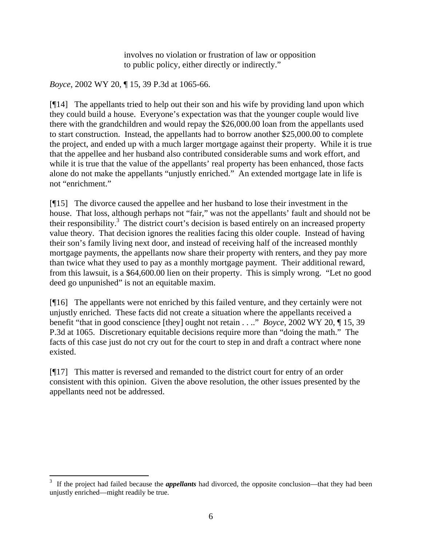involves no violation or frustration of law or opposition to public policy, either directly or indirectly."

*Boyce*, 2002 WY 20, ¶ 15, 39 P.3d at 1065-66.

[¶14] The appellants tried to help out their son and his wife by providing land upon which they could build a house. Everyone's expectation was that the younger couple would live there with the grandchildren and would repay the \$26,000.00 loan from the appellants used to start construction. Instead, the appellants had to borrow another \$25,000.00 to complete the project, and ended up with a much larger mortgage against their property. While it is true that the appellee and her husband also contributed considerable sums and work effort, and while it is true that the value of the appellants' real property has been enhanced, those facts alone do not make the appellants "unjustly enriched." An extended mortgage late in life is not "enrichment."

[¶15] The divorce caused the appellee and her husband to lose their investment in the house. That loss, although perhaps not "fair," was not the appellants' fault and should not be their responsibility.<sup>3</sup> The district court's decision is based entirely on an increased property value theory. That decision ignores the realities facing this older couple. Instead of having their son's family living next door, and instead of receiving half of the increased monthly mortgage payments, the appellants now share their property with renters, and they pay more than twice what they used to pay as a monthly mortgage payment. Their additional reward, from this lawsuit, is a \$64,600.00 lien on their property. This is simply wrong. "Let no good deed go unpunished" is not an equitable maxim.

[¶16] The appellants were not enriched by this failed venture, and they certainly were not unjustly enriched. These facts did not create a situation where the appellants received a benefit "that in good conscience [they] ought not retain . . .." *Boyce*, 2002 WY 20, ¶ 15, 39 P.3d at 1065. Discretionary equitable decisions require more than "doing the math." The facts of this case just do not cry out for the court to step in and draft a contract where none existed.

[¶17] This matter is reversed and remanded to the district court for entry of an order consistent with this opinion. Given the above resolution, the other issues presented by the appellants need not be addressed.

 $\frac{1}{3}$  If the project had failed because the *appellants* had divorced, the opposite conclusion—that they had been unjustly enriched—might readily be true.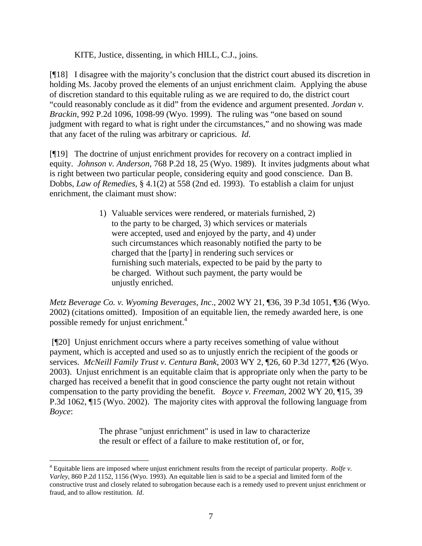KITE, Justice, dissenting, in which HILL, C.J., joins.

[¶18] I disagree with the majority's conclusion that the district court abused its discretion in holding Ms. Jacoby proved the elements of an unjust enrichment claim. Applying the abuse of discretion standard to this equitable ruling as we are required to do, the district court "could reasonably conclude as it did" from the evidence and argument presented. *Jordan v. Brackin,* 992 P.2d 1096, 1098-99 (Wyo. 1999). The ruling was "one based on sound judgment with regard to what is right under the circumstances," and no showing was made that any facet of the ruling was arbitrary or capricious. *Id*.

[¶19] The doctrine of unjust enrichment provides for recovery on a contract implied in equity. *Johnson v. Anderson*, 768 P.2d 18, 25 (Wyo. 1989). It invites judgments about what is right between two particular people, considering equity and good conscience. Dan B. Dobbs, *Law of Remedies*, § 4.1(2) at 558 (2nd ed. 1993). To establish a claim for unjust enrichment, the claimant must show:

> 1) Valuable services were rendered, or materials furnished, 2) to the party to be charged, 3) which services or materials were accepted, used and enjoyed by the party, and 4) under such circumstances which reasonably notified the party to be charged that the [party] in rendering such services or furnishing such materials, expected to be paid by the party to be charged. Without such payment, the party would be unjustly enriched.

*Metz Beverage Co. v. Wyoming Beverages, Inc*., 2002 WY 21, ¶36, 39 P.3d 1051, ¶36 (Wyo. 2002) (citations omitted). Imposition of an equitable lien, the remedy awarded here, is one possible remedy for unjust enrichment.<sup>4</sup>

 [¶20] Unjust enrichment occurs where a party receives something of value without payment, which is accepted and used so as to unjustly enrich the recipient of the goods or services. *McNeill Family Trust v. Centura Bank*, 2003 WY 2, ¶26, 60 P.3d 1277, ¶26 (Wyo. 2003). Unjust enrichment is an equitable claim that is appropriate only when the party to be charged has received a benefit that in good conscience the party ought not retain without compensation to the party providing the benefit. *Boyce v. Freeman*, 2002 WY 20, ¶15, 39 P.3d 1062, ¶15 (Wyo. 2002). The majority cites with approval the following language from *Boyce*:

> The phrase "unjust enrichment" is used in law to characterize the result or effect of a failure to make restitution of, or for,

 $\overline{a}$ 

<sup>4</sup> Equitable liens are imposed where unjust enrichment results from the receipt of particular property. *Rolfe v. Varley*, 860 P.2d 1152, 1156 (Wyo. 1993). An equitable lien is said to be a special and limited form of the constructive trust and closely related to subrogation because each is a remedy used to prevent unjust enrichment or fraud, and to allow restitution*. Id*.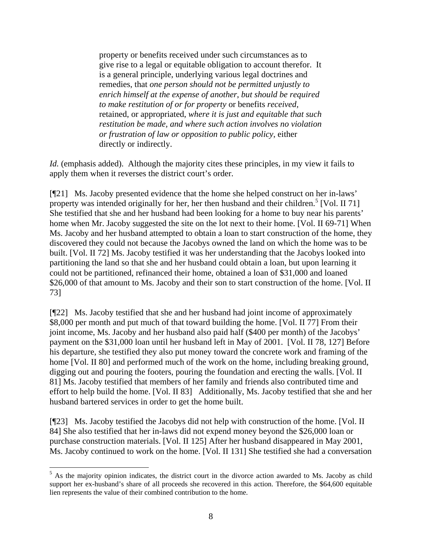property or benefits received under such circumstances as to give rise to a legal or equitable obligation to account therefor. It is a general principle, underlying various legal doctrines and remedies, that *one person should not be permitted unjustly to enrich himself at the expense of another*, *but should be required to make restitution of or for property* or benefits *received,* retained, or appropriated, *where it is just and equitable that such restitution be made, and where such action involves no violation or frustration of law or opposition to public policy*, either directly or indirectly.

*Id.* (emphasis added). Although the majority cites these principles, in my view it fails to apply them when it reverses the district court's order.

[¶21] Ms. Jacoby presented evidence that the home she helped construct on her in-laws' property was intended originally for her, her then husband and their children.<sup>5</sup> [Vol. II 71] She testified that she and her husband had been looking for a home to buy near his parents' home when Mr. Jacoby suggested the site on the lot next to their home. [Vol. II 69-71] When Ms. Jacoby and her husband attempted to obtain a loan to start construction of the home, they discovered they could not because the Jacobys owned the land on which the home was to be built. [Vol. II 72] Ms. Jacoby testified it was her understanding that the Jacobys looked into partitioning the land so that she and her husband could obtain a loan, but upon learning it could not be partitioned, refinanced their home, obtained a loan of \$31,000 and loaned \$26,000 of that amount to Ms. Jacoby and their son to start construction of the home. [Vol. II 73]

[¶22] Ms. Jacoby testified that she and her husband had joint income of approximately \$8,000 per month and put much of that toward building the home. [Vol. II 77] From their joint income, Ms. Jacoby and her husband also paid half (\$400 per month) of the Jacobys' payment on the \$31,000 loan until her husband left in May of 2001. [Vol. II 78, 127] Before his departure, she testified they also put money toward the concrete work and framing of the home [Vol. II 80] and performed much of the work on the home, including breaking ground, digging out and pouring the footers, pouring the foundation and erecting the walls. [Vol. II 81] Ms. Jacoby testified that members of her family and friends also contributed time and effort to help build the home. [Vol. II 83] Additionally, Ms. Jacoby testified that she and her husband bartered services in order to get the home built.

[¶23] Ms. Jacoby testified the Jacobys did not help with construction of the home. [Vol. II 84] She also testified that her in-laws did not expend money beyond the \$26,000 loan or purchase construction materials. [Vol. II 125] After her husband disappeared in May 2001, Ms. Jacoby continued to work on the home. [Vol. II 131] She testified she had a conversation

 $\overline{a}$ 

<sup>&</sup>lt;sup>5</sup> As the majority opinion indicates, the district court in the divorce action awarded to Ms. Jacoby as child support her ex-husband's share of all proceeds she recovered in this action. Therefore, the \$64,600 equitable lien represents the value of their combined contribution to the home.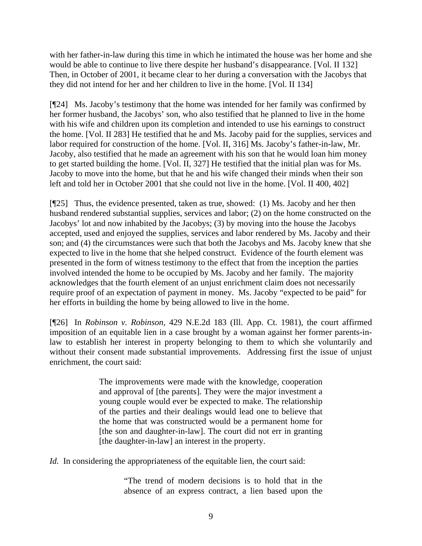with her father-in-law during this time in which he intimated the house was her home and she would be able to continue to live there despite her husband's disappearance. [Vol. II 132] Then, in October of 2001, it became clear to her during a conversation with the Jacobys that they did not intend for her and her children to live in the home. [Vol. II 134]

[¶24] Ms. Jacoby's testimony that the home was intended for her family was confirmed by her former husband, the Jacobys' son, who also testified that he planned to live in the home with his wife and children upon its completion and intended to use his earnings to construct the home. [Vol. II 283] He testified that he and Ms. Jacoby paid for the supplies, services and labor required for construction of the home. [Vol. II, 316] Ms. Jacoby's father-in-law, Mr. Jacoby, also testified that he made an agreement with his son that he would loan him money to get started building the home. [Vol. II, 327] He testified that the initial plan was for Ms. Jacoby to move into the home, but that he and his wife changed their minds when their son left and told her in October 2001 that she could not live in the home. [Vol. II 400, 402]

[¶25] Thus, the evidence presented, taken as true, showed: (1) Ms. Jacoby and her then husband rendered substantial supplies, services and labor; (2) on the home constructed on the Jacobys' lot and now inhabited by the Jacobys; (3) by moving into the house the Jacobys accepted, used and enjoyed the supplies, services and labor rendered by Ms. Jacoby and their son; and (4) the circumstances were such that both the Jacobys and Ms. Jacoby knew that she expected to live in the home that she helped construct. Evidence of the fourth element was presented in the form of witness testimony to the effect that from the inception the parties involved intended the home to be occupied by Ms. Jacoby and her family. The majority acknowledges that the fourth element of an unjust enrichment claim does not necessarily require proof of an expectation of payment in money. Ms. Jacoby "expected to be paid" for her efforts in building the home by being allowed to live in the home.

[¶26] In *Robinson v. Robinson*, 429 N.E.2d 183 (Ill. App. Ct. 1981), the court affirmed imposition of an equitable lien in a case brought by a woman against her former parents-inlaw to establish her interest in property belonging to them to which she voluntarily and without their consent made substantial improvements. Addressing first the issue of unjust enrichment, the court said:

> The improvements were made with the knowledge, cooperation and approval of [the parents]. They were the major investment a young couple would ever be expected to make. The relationship of the parties and their dealings would lead one to believe that the home that was constructed would be a permanent home for [the son and daughter-in-law]. The court did not err in granting [the daughter-in-law] an interest in the property.

*Id.* In considering the appropriateness of the equitable lien, the court said:

"The trend of modern decisions is to hold that in the absence of an express contract, a lien based upon the